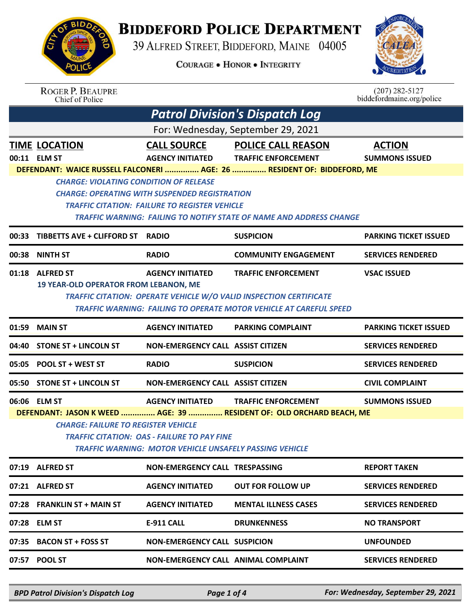

## **BIDDEFORD POLICE DEPARTMENT**

39 ALFRED STREET, BIDDEFORD, MAINE 04005

**COURAGE . HONOR . INTEGRITY** 



|       | <b>ROGER P. BEAUPRE</b><br>Chief of Police    |                                                                                                               |                                                                                                                                                        | $(207) 282 - 5127$<br>biddefordmaine.org/police |
|-------|-----------------------------------------------|---------------------------------------------------------------------------------------------------------------|--------------------------------------------------------------------------------------------------------------------------------------------------------|-------------------------------------------------|
|       |                                               |                                                                                                               | <b>Patrol Division's Dispatch Log</b>                                                                                                                  |                                                 |
|       |                                               |                                                                                                               | For: Wednesday, September 29, 2021                                                                                                                     |                                                 |
|       | <b>TIME LOCATION</b>                          | <b>CALL SOURCE</b>                                                                                            | <b>POLICE CALL REASON</b>                                                                                                                              | <b>ACTION</b>                                   |
|       | 00:11 ELM ST                                  | <b>AGENCY INITIATED</b>                                                                                       | <b>TRAFFIC ENFORCEMENT</b>                                                                                                                             | <b>SUMMONS ISSUED</b>                           |
|       | <b>CHARGE: VIOLATING CONDITION OF RELEASE</b> |                                                                                                               | DEFENDANT: WAICE RUSSELL FALCONERI  AGE: 26  RESIDENT OF: BIDDEFORD, ME                                                                                |                                                 |
|       |                                               | CHARGE: OPERATING WITH SUSPENDED REGISTRATION                                                                 |                                                                                                                                                        |                                                 |
|       |                                               | <b>TRAFFIC CITATION: FAILURE TO REGISTER VEHICLE</b>                                                          |                                                                                                                                                        |                                                 |
|       |                                               |                                                                                                               | TRAFFIC WARNING: FAILING TO NOTIFY STATE OF NAME AND ADDRESS CHANGE                                                                                    |                                                 |
| 00:33 | <b>TIBBETTS AVE + CLIFFORD ST</b>             | <b>RADIO</b>                                                                                                  | <b>SUSPICION</b>                                                                                                                                       | <b>PARKING TICKET ISSUED</b>                    |
| 00:38 | <b>NINTH ST</b>                               | <b>RADIO</b>                                                                                                  | <b>COMMUNITY ENGAGEMENT</b>                                                                                                                            | <b>SERVICES RENDERED</b>                        |
| 01:18 | <b>ALFRED ST</b>                              | <b>AGENCY INITIATED</b>                                                                                       | <b>TRAFFIC ENFORCEMENT</b>                                                                                                                             | <b>VSAC ISSUED</b>                              |
|       | <b>19 YEAR-OLD OPERATOR FROM LEBANON, ME</b>  |                                                                                                               |                                                                                                                                                        |                                                 |
|       |                                               |                                                                                                               | <b>TRAFFIC CITATION: OPERATE VEHICLE W/O VALID INSPECTION CERTIFICATE</b><br><b>TRAFFIC WARNING: FAILING TO OPERATE MOTOR VEHICLE AT CAREFUL SPEED</b> |                                                 |
|       |                                               |                                                                                                               |                                                                                                                                                        |                                                 |
| 01:59 | <b>MAIN ST</b>                                | <b>AGENCY INITIATED</b>                                                                                       | <b>PARKING COMPLAINT</b>                                                                                                                               | <b>PARKING TICKET ISSUED</b>                    |
| 04:40 | <b>STONE ST + LINCOLN ST</b>                  | <b>NON-EMERGENCY CALL ASSIST CITIZEN</b>                                                                      |                                                                                                                                                        | <b>SERVICES RENDERED</b>                        |
| 05:05 | <b>POOL ST + WEST ST</b>                      | <b>RADIO</b>                                                                                                  | <b>SUSPICION</b>                                                                                                                                       | <b>SERVICES RENDERED</b>                        |
|       | 05:50 STONE ST + LINCOLN ST                   | <b>NON-EMERGENCY CALL ASSIST CITIZEN</b>                                                                      |                                                                                                                                                        | <b>CIVIL COMPLAINT</b>                          |
|       | 06:06 ELM ST                                  | <b>AGENCY INITIATED</b>                                                                                       | <b>TRAFFIC ENFORCEMENT</b>                                                                                                                             | <b>SUMMONS ISSUED</b>                           |
|       |                                               |                                                                                                               | DEFENDANT: JASON K WEED  AGE: 39  RESIDENT OF: OLD ORCHARD BEACH, ME                                                                                   |                                                 |
|       | <b>CHARGE: FAILURE TO REGISTER VEHICLE</b>    |                                                                                                               |                                                                                                                                                        |                                                 |
|       |                                               | <b>TRAFFIC CITATION: OAS - FAILURE TO PAY FINE</b><br>TRAFFIC WARNING: MOTOR VEHICLE UNSAFELY PASSING VEHICLE |                                                                                                                                                        |                                                 |
|       | 07:19 ALFRED ST                               | NON-EMERGENCY CALL TRESPASSING                                                                                |                                                                                                                                                        | <b>REPORT TAKEN</b>                             |
|       | 07:21 ALFRED ST                               | <b>AGENCY INITIATED</b>                                                                                       | <b>OUT FOR FOLLOW UP</b>                                                                                                                               | <b>SERVICES RENDERED</b>                        |
|       |                                               |                                                                                                               |                                                                                                                                                        |                                                 |
|       | 07:28 FRANKLIN ST + MAIN ST                   | <b>AGENCY INITIATED</b>                                                                                       | <b>MENTAL ILLNESS CASES</b>                                                                                                                            | <b>SERVICES RENDERED</b>                        |
|       | 07:28 ELM ST                                  | <b>E-911 CALL</b>                                                                                             | <b>DRUNKENNESS</b>                                                                                                                                     | <b>NO TRANSPORT</b>                             |
| 07:35 | <b>BACON ST + FOSS ST</b>                     | <b>NON-EMERGENCY CALL SUSPICION</b>                                                                           |                                                                                                                                                        | <b>UNFOUNDED</b>                                |
| 07:57 | <b>POOL ST</b>                                | NON-EMERGENCY CALL ANIMAL COMPLAINT                                                                           |                                                                                                                                                        | <b>SERVICES RENDERED</b>                        |
|       |                                               |                                                                                                               |                                                                                                                                                        |                                                 |

*BPD Patrol Division's Dispatch Log Page 1 of 4 For: Wednesday, September 29, 2021*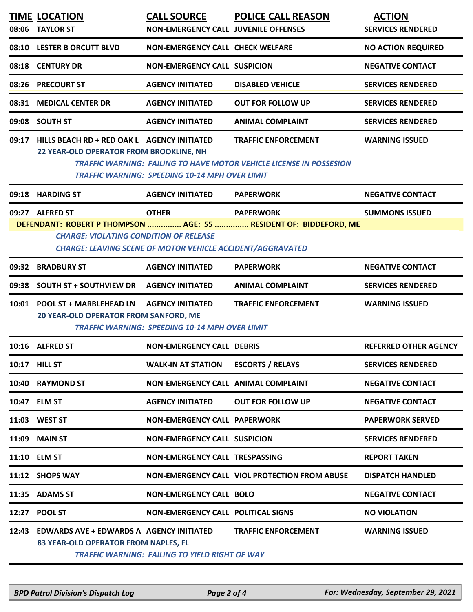|       | <b>TIME LOCATION</b><br>08:06 TAYLOR ST                                                                                                                                                 | <b>CALL SOURCE</b><br><b>NON-EMERGENCY CALL JUVENILE OFFENSES</b>                | <b>POLICE CALL REASON</b>                                                                                | <b>ACTION</b><br><b>SERVICES RENDERED</b> |  |  |
|-------|-----------------------------------------------------------------------------------------------------------------------------------------------------------------------------------------|----------------------------------------------------------------------------------|----------------------------------------------------------------------------------------------------------|-------------------------------------------|--|--|
| 08:10 | <b>LESTER B ORCUTT BLVD</b>                                                                                                                                                             | <b>NON-EMERGENCY CALL CHECK WELFARE</b>                                          |                                                                                                          | <b>NO ACTION REQUIRED</b>                 |  |  |
| 08:18 | <b>CENTURY DR</b>                                                                                                                                                                       | <b>NON-EMERGENCY CALL SUSPICION</b>                                              |                                                                                                          | <b>NEGATIVE CONTACT</b>                   |  |  |
| 08:26 | <b>PRECOURT ST</b>                                                                                                                                                                      | <b>AGENCY INITIATED</b>                                                          | <b>DISABLED VEHICLE</b>                                                                                  | <b>SERVICES RENDERED</b>                  |  |  |
| 08:31 | <b>MEDICAL CENTER DR</b>                                                                                                                                                                | <b>AGENCY INITIATED</b>                                                          | <b>OUT FOR FOLLOW UP</b>                                                                                 | <b>SERVICES RENDERED</b>                  |  |  |
| 09:08 | <b>SOUTH ST</b>                                                                                                                                                                         | <b>AGENCY INITIATED</b>                                                          | <b>ANIMAL COMPLAINT</b>                                                                                  | <b>SERVICES RENDERED</b>                  |  |  |
| 09:17 | HILLS BEACH RD + RED OAK L AGENCY INITIATED<br>22 YEAR-OLD OPERATOR FROM BROOKLINE, NH                                                                                                  | <b>TRAFFIC WARNING: SPEEDING 10-14 MPH OVER LIMIT</b>                            | <b>TRAFFIC ENFORCEMENT</b><br><b>TRAFFIC WARNING: FAILING TO HAVE MOTOR VEHICLE LICENSE IN POSSESION</b> | <b>WARNING ISSUED</b>                     |  |  |
|       | 09:18 HARDING ST                                                                                                                                                                        | <b>AGENCY INITIATED</b>                                                          | <b>PAPERWORK</b>                                                                                         | <b>NEGATIVE CONTACT</b>                   |  |  |
|       | 09:27 ALFRED ST                                                                                                                                                                         | <b>OTHER</b>                                                                     | <b>PAPERWORK</b>                                                                                         | <b>SUMMONS ISSUED</b>                     |  |  |
|       | DEFENDANT: ROBERT P THOMPSON  AGE: 55  RESIDENT OF: BIDDEFORD, ME<br><b>CHARGE: VIOLATING CONDITION OF RELEASE</b><br><b>CHARGE: LEAVING SCENE OF MOTOR VEHICLE ACCIDENT/AGGRAVATED</b> |                                                                                  |                                                                                                          |                                           |  |  |
| 09:32 | <b>BRADBURY ST</b>                                                                                                                                                                      | <b>AGENCY INITIATED</b>                                                          | <b>PAPERWORK</b>                                                                                         | <b>NEGATIVE CONTACT</b>                   |  |  |
| 09:38 | <b>SOUTH ST + SOUTHVIEW DR</b>                                                                                                                                                          | <b>AGENCY INITIATED</b>                                                          | <b>ANIMAL COMPLAINT</b>                                                                                  | <b>SERVICES RENDERED</b>                  |  |  |
|       | 10:01 POOL ST + MARBLEHEAD LN<br>20 YEAR-OLD OPERATOR FROM SANFORD, ME                                                                                                                  | <b>AGENCY INITIATED</b><br><b>TRAFFIC WARNING: SPEEDING 10-14 MPH OVER LIMIT</b> | <b>TRAFFIC ENFORCEMENT</b>                                                                               | <b>WARNING ISSUED</b>                     |  |  |
|       | 10:16 ALFRED ST                                                                                                                                                                         | <b>NON-EMERGENCY CALL DEBRIS</b>                                                 |                                                                                                          | <b>REFERRED OTHER AGENCY</b>              |  |  |
|       | 10:17 HILL ST                                                                                                                                                                           | <b>WALK-IN AT STATION</b>                                                        | <b>ESCORTS / RELAYS</b>                                                                                  | <b>SERVICES RENDERED</b>                  |  |  |
|       | 10:40 RAYMOND ST                                                                                                                                                                        | NON-EMERGENCY CALL ANIMAL COMPLAINT                                              |                                                                                                          | <b>NEGATIVE CONTACT</b>                   |  |  |
|       | 10:47 ELM ST                                                                                                                                                                            | <b>AGENCY INITIATED</b>                                                          | <b>OUT FOR FOLLOW UP</b>                                                                                 | <b>NEGATIVE CONTACT</b>                   |  |  |
|       | 11:03 WEST ST                                                                                                                                                                           | <b>NON-EMERGENCY CALL PAPERWORK</b>                                              |                                                                                                          | <b>PAPERWORK SERVED</b>                   |  |  |
| 11:09 | <b>MAIN ST</b>                                                                                                                                                                          | <b>NON-EMERGENCY CALL SUSPICION</b>                                              |                                                                                                          | <b>SERVICES RENDERED</b>                  |  |  |
|       | 11:10 ELM ST                                                                                                                                                                            | NON-EMERGENCY CALL TRESPASSING                                                   |                                                                                                          | <b>REPORT TAKEN</b>                       |  |  |
|       | 11:12 SHOPS WAY                                                                                                                                                                         |                                                                                  | NON-EMERGENCY CALL VIOL PROTECTION FROM ABUSE                                                            | <b>DISPATCH HANDLED</b>                   |  |  |
|       | 11:35 ADAMS ST                                                                                                                                                                          | <b>NON-EMERGENCY CALL BOLO</b>                                                   |                                                                                                          | <b>NEGATIVE CONTACT</b>                   |  |  |
| 12:27 | <b>POOL ST</b>                                                                                                                                                                          | <b>NON-EMERGENCY CALL POLITICAL SIGNS</b>                                        |                                                                                                          | <b>NO VIOLATION</b>                       |  |  |
| 12:43 | <b>EDWARDS AVE + EDWARDS A AGENCY INITIATED</b><br>83 YEAR-OLD OPERATOR FROM NAPLES, FL                                                                                                 | <b>TRAFFIC WARNING: FAILING TO YIELD RIGHT OF WAY</b>                            | <b>TRAFFIC ENFORCEMENT</b>                                                                               | <b>WARNING ISSUED</b>                     |  |  |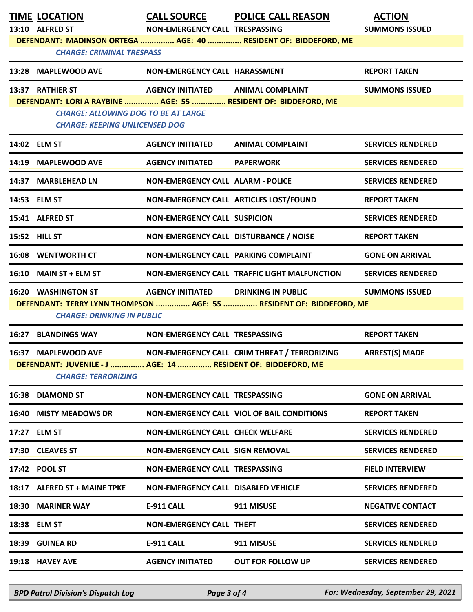|                                                                                                          | <b>TIME LOCATION</b>                                                                | <b>CALL SOURCE</b>                         | <b>POLICE CALL REASON</b>                                       | <b>ACTION</b>            |  |
|----------------------------------------------------------------------------------------------------------|-------------------------------------------------------------------------------------|--------------------------------------------|-----------------------------------------------------------------|--------------------------|--|
|                                                                                                          | 13:10 ALFRED ST                                                                     | NON-EMERGENCY CALL TRESPASSING             |                                                                 | <b>SUMMONS ISSUED</b>    |  |
|                                                                                                          |                                                                                     |                                            | DEFENDANT: MADINSON ORTEGA  AGE: 40  RESIDENT OF: BIDDEFORD, ME |                          |  |
|                                                                                                          | <b>CHARGE: CRIMINAL TRESPASS</b>                                                    |                                            |                                                                 |                          |  |
|                                                                                                          | 13:28 MAPLEWOOD AVE                                                                 | NON-EMERGENCY CALL HARASSMENT              |                                                                 | <b>REPORT TAKEN</b>      |  |
|                                                                                                          | 13:37 RATHIER ST                                                                    | AGENCY INITIATED ANIMAL COMPLAINT          |                                                                 | <b>SUMMONS ISSUED</b>    |  |
|                                                                                                          | DEFENDANT: LORI A RAYBINE  AGE: 55  RESIDENT OF: BIDDEFORD, ME                      |                                            |                                                                 |                          |  |
|                                                                                                          | <b>CHARGE: ALLOWING DOG TO BE AT LARGE</b><br><b>CHARGE: KEEPING UNLICENSED DOG</b> |                                            |                                                                 |                          |  |
|                                                                                                          | 14:02 ELM ST                                                                        | <b>AGENCY INITIATED</b>                    | <b>ANIMAL COMPLAINT</b>                                         | <b>SERVICES RENDERED</b> |  |
|                                                                                                          | 14:19 MAPLEWOOD AVE                                                                 | <b>AGENCY INITIATED</b>                    | <b>PAPERWORK</b>                                                | <b>SERVICES RENDERED</b> |  |
|                                                                                                          | 14:37 MARBLEHEAD LN                                                                 | <b>NON-EMERGENCY CALL ALARM - POLICE</b>   |                                                                 | <b>SERVICES RENDERED</b> |  |
|                                                                                                          | 14:53 ELM ST                                                                        |                                            | NON-EMERGENCY CALL ARTICLES LOST/FOUND                          | <b>REPORT TAKEN</b>      |  |
|                                                                                                          | 15:41 ALFRED ST                                                                     | <b>NON-EMERGENCY CALL SUSPICION</b>        |                                                                 | <b>SERVICES RENDERED</b> |  |
|                                                                                                          | 15:52 HILL ST                                                                       | NON-EMERGENCY CALL DISTURBANCE / NOISE     |                                                                 | <b>REPORT TAKEN</b>      |  |
|                                                                                                          | <b>16:08 WENTWORTH CT</b>                                                           | NON-EMERGENCY CALL PARKING COMPLAINT       |                                                                 | <b>GONE ON ARRIVAL</b>   |  |
|                                                                                                          | 16:10 MAIN ST + ELM ST                                                              |                                            | NON-EMERGENCY CALL TRAFFIC LIGHT MALFUNCTION                    | <b>SERVICES RENDERED</b> |  |
|                                                                                                          | <b>16:20 WASHINGTON ST</b>                                                          | <b>AGENCY INITIATED DRINKING IN PUBLIC</b> |                                                                 | <b>SUMMONS ISSUED</b>    |  |
| DEFENDANT: TERRY LYNN THOMPSON  AGE: 55  RESIDENT OF: BIDDEFORD, ME<br><b>CHARGE: DRINKING IN PUBLIC</b> |                                                                                     |                                            |                                                                 |                          |  |
|                                                                                                          | <b>16:27 BLANDINGS WAY</b>                                                          | NON-EMERGENCY CALL TRESPASSING             |                                                                 | <b>REPORT TAKEN</b>      |  |
|                                                                                                          | 16:37 MAPLEWOOD AVE                                                                 |                                            | NON-EMERGENCY CALL CRIM THREAT / TERRORIZING                    | <b>ARREST(S) MADE</b>    |  |
|                                                                                                          | DEFENDANT: JUVENILE - J  AGE: 14  RESIDENT OF: BIDDEFORD, ME                        |                                            |                                                                 |                          |  |
|                                                                                                          | <b>CHARGE: TERRORIZING</b>                                                          |                                            |                                                                 |                          |  |
|                                                                                                          | 16:38 DIAMOND ST                                                                    | <b>NON-EMERGENCY CALL TRESPASSING</b>      |                                                                 | <b>GONE ON ARRIVAL</b>   |  |
|                                                                                                          | <b>16:40 MISTY MEADOWS DR</b>                                                       |                                            | NON-EMERGENCY CALL VIOL OF BAIL CONDITIONS                      | <b>REPORT TAKEN</b>      |  |
|                                                                                                          | 17:27 ELM ST                                                                        | <b>NON-EMERGENCY CALL CHECK WELFARE</b>    |                                                                 | <b>SERVICES RENDERED</b> |  |
|                                                                                                          | 17:30 CLEAVES ST                                                                    | <b>NON-EMERGENCY CALL SIGN REMOVAL</b>     |                                                                 | <b>SERVICES RENDERED</b> |  |
|                                                                                                          | 17:42 POOL ST                                                                       | NON-EMERGENCY CALL TRESPASSING             |                                                                 | <b>FIELD INTERVIEW</b>   |  |
|                                                                                                          | 18:17 ALFRED ST + MAINE TPKE                                                        | <b>NON-EMERGENCY CALL DISABLED VEHICLE</b> |                                                                 | <b>SERVICES RENDERED</b> |  |
|                                                                                                          | 18:30 MARINER WAY                                                                   | <b>E-911 CALL</b>                          | 911 MISUSE                                                      | <b>NEGATIVE CONTACT</b>  |  |
|                                                                                                          | 18:38 ELM ST                                                                        | <b>NON-EMERGENCY CALL THEFT</b>            |                                                                 | <b>SERVICES RENDERED</b> |  |
|                                                                                                          | 18:39 GUINEA RD                                                                     | <b>E-911 CALL</b>                          | 911 MISUSE                                                      | <b>SERVICES RENDERED</b> |  |
|                                                                                                          | 19:18 HAVEY AVE                                                                     | <b>AGENCY INITIATED</b>                    | <b>OUT FOR FOLLOW UP</b>                                        | <b>SERVICES RENDERED</b> |  |

*BPD Patrol Division's Dispatch Log Page 3 of 4 For: Wednesday, September 29, 2021*